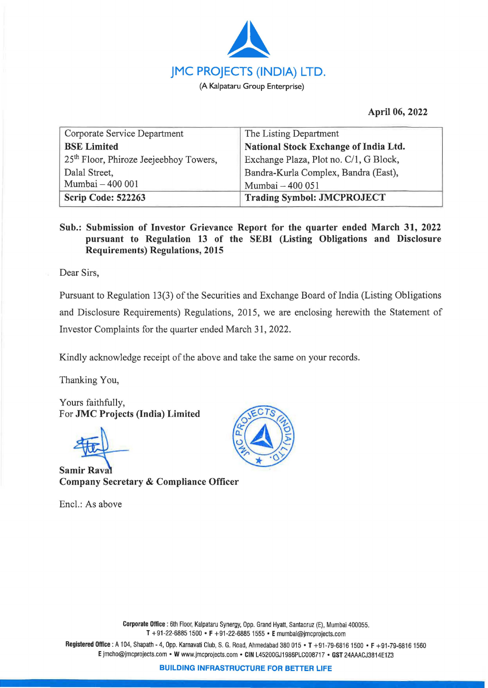

**April 06, 2022** 

| Corporate Service Department                       | The Listing Department                 |
|----------------------------------------------------|----------------------------------------|
| <b>BSE</b> Limited                                 | National Stock Exchange of India Ltd.  |
| 25 <sup>th</sup> Floor, Phiroze Jeejeebhoy Towers, | Exchange Plaza, Plot no. C/1, G Block, |
| Dalal Street,                                      | Bandra-Kurla Complex, Bandra (East),   |
| Mumbai - 400 001                                   | Mumbai - 400 051                       |
| Scrip Code: 522263                                 | <b>Trading Symbol: JMCPROJECT</b>      |

## **Sub.: Submission of Investor Grievance Report for the quarter ended March 31, 2022 pursuant to Regulation 13 of the SEBI (Listing Obligations and Disclosure Requirements) Regulations, 2015**

Dear Sirs,

Pursuant to Regulation 13(3) of the Securities and Exchange Board of India (Listing Obligations and Disclosure Requirements) Regulations, 2015, we are enclosing herewith the Statement of Investor Complaints for the quarter ended March 31, 2022.

Kindly acknowledge receipt of the above and take the same on your records.

Thanking You,

Yours faithfully, For **JMC Projects (India) Limited** 

**Samir Raval Company Secretary** & **Compliance Officer** 

Encl.: As above



**Registered Office:** A 104, Shapath - 4, Opp, Karnavati Club, S. G. Road, Ahmedabad 380 015 • **T** +91-79-68161500 • **F** +91-79-68161560 **E** jmcho@jmcprojects.com • **W** www.jmcprojects.com • **CIN** L45200GJ1986PLC008717 • **GST** 24AAACJ3814E1 Z3